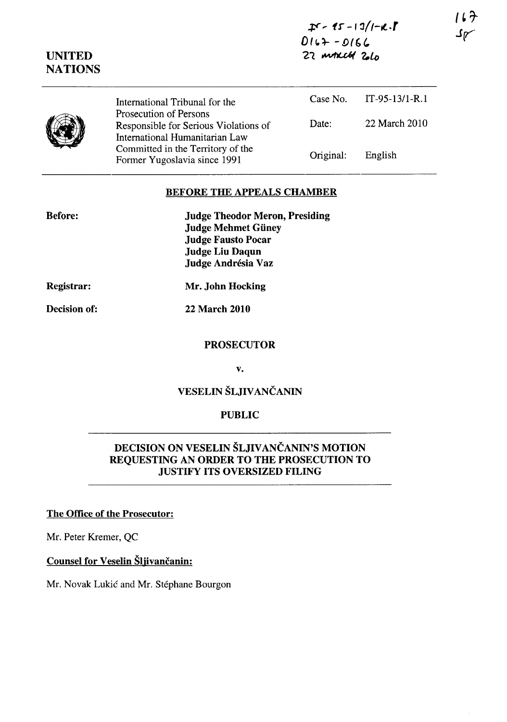$$  $0162 - 0166$ <sup>21</sup>~ *'l-lo* 

|         |                                                                                                                                                                                                          |           | Case No. IT-95-13/1-R.1 |
|---------|----------------------------------------------------------------------------------------------------------------------------------------------------------------------------------------------------------|-----------|-------------------------|
| I)<br>∕ | International Tribunal for the<br>Prosecution of Persons<br>Responsible for Serious Violations of<br>International Humanitarian Law<br>Committed in the Territory of the<br>Former Yugoslavia since 1991 |           |                         |
|         |                                                                                                                                                                                                          | Date:     | 22 March 2010           |
|         |                                                                                                                                                                                                          | Original: | English                 |

## BEFORE THE APPEALS CHAMBER

| <b>Before:</b> | <b>Judge Theodor Meron, Presiding</b> |
|----------------|---------------------------------------|
|                | <b>Judge Mehmet Güney</b>             |
|                | <b>Judge Fausto Pocar</b>             |
|                | Judge Liu Daqun                       |
|                | Judge Andrésia Vaz                    |
|                |                                       |

Registrar:

Mr. John Hocking

Decision of:

22 March 2010

#### PROSECUTOR

v.

# VESELIN ŠLJIVANČANIN

### PUBLIC

## DECISION ON VESELIN ŠLJIVANČANIN'S MOTION REQUESTING AN ORDER TO THE PROSECUTION TO JUSTIFY ITS OVERSIZED FILING

#### The Office of the Prosecutor:

Mr. Peter Kremer, QC

## Counsel for Veselin Šljivančanin:

Mr. Novak Lukic and Mr. Stephane Bourgon

**(1)** 

UNITED **NATIONS**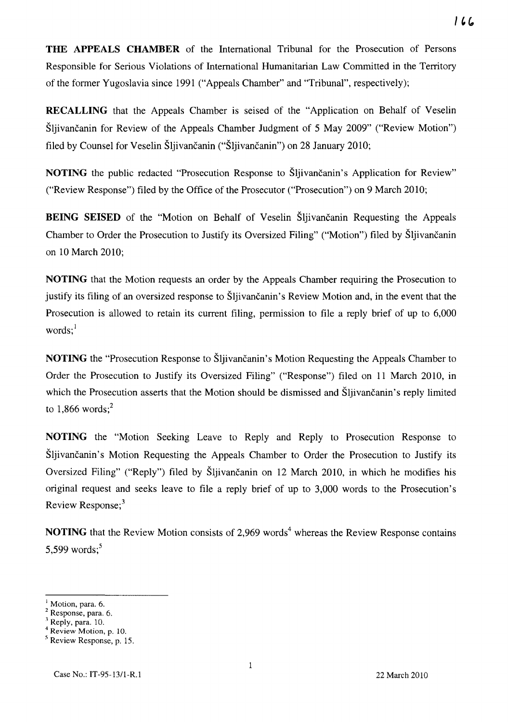**THE APPEALS CHAMBER** of the International Tribunal for the Prosecution of Persons Responsible for Serious Violations of International Humanitarian Law Committed in the Territory

 $166$ 

**RECALLING** that the Appeals Chamber is seised of the "Application on Behalf of Veselin Sliivančanin for Review of the Appeals Chamber Judgment of 5 May 2009" ("Review Motion") filed by Counsel for Veselin Sljivancanin ("Sljivancanin") on 28 January 2010;

of the former Yugoslavia since 1991 ("Appeals Chamber" and "Tribunal", respectively);

**NOTING** the public redacted "Prosecution Response to Sliivancanin's Application for Review" ("Review Response") filed by the Office of the Prosecutor ("Prosecution") on 9 March 2010;

**BEING SEISED** of the "Motion on Behalf of Veselin Sljivancanin Requesting the Appeals Chamber to Order the Prosecution to Justify its Oversized Filing" ("Motion") filed by Sljivancanin on 10 March 2010;

**NOTING** that the Motion requests an order by the Appeals Chamber requiring the Prosecution to justify its filing of an oversized response to Sljivancanin's Review Motion and, in the event that the Prosecution is allowed to retain its current filing, permission to file a reply brief of up to 6,000 words; $<sup>1</sup>$ </sup>

**NOTING** the "Prosecution Response to Sljivančanin's Motion Requesting the Appeals Chamber to Order the Prosecution to Justify its Oversized Filing" ("Response") filed on 11 March 2010, in which the Prosecution asserts that the Motion should be dismissed and Sljivancanin's reply limited to  $1,866$  words;<sup>2</sup>

**NOTING** the "Motion Seeking Leave to Reply and Reply to Prosecution Response to Sljivančanin's Motion Requesting the Appeals Chamber to Order the Prosecution to Justify its Oversized Filing" ("Reply") filed by Šljivančanin on 12 March 2010, in which he modifies his original request and seeks leave to file a reply brief of up to 3,000 words to the Prosecution's Review Response:<sup>3</sup>

**NOTING** that the Review Motion consists of 2,969 words<sup>4</sup> whereas the Review Response contains 5,599 words; $5$ 

Motion, para. 6.

Response, para. 6.

Reply, para. 10.

Review Motion, p. 10. Review Response, p. 15.

Case No.: IT-95-13/1-R.1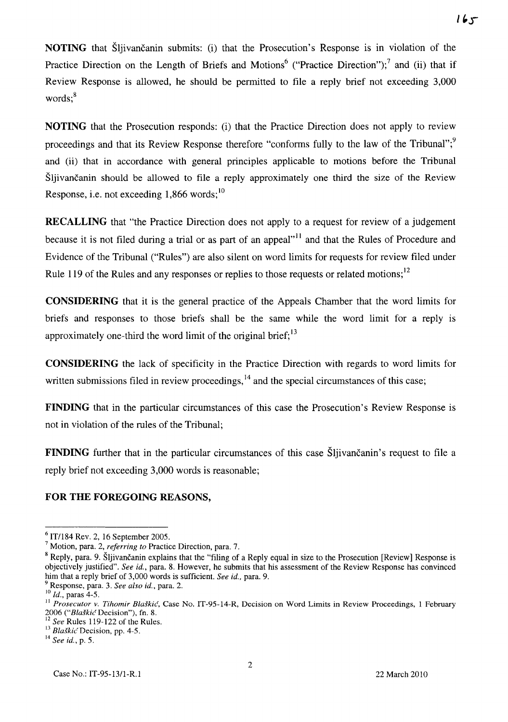**NOTING** that Sliivancanin submits: (i) that the Prosecution's Response is in violation of the Practice Direction on the Length of Briefs and Motions<sup>6</sup> ("Practice Direction");<sup>7</sup> and (ii) that if Review Response is allowed, he should be permitted to file a reply brief not exceeding 3,000  $words:<sup>8</sup>$ 

**NOTING** that the Prosecution responds: (i) that the Practice Direction does not apply to review proceedings and that its Review Response therefore "conforms fully to the law of the Tribunal"; $\frac{9}{2}$ and (ii) that in accordance with general principles applicable to motions before the Tribunal Šljivančanin should be allowed to file a reply approximately one third the size of the Review Response, i.e. not exceeding  $1,866$  words;  $\frac{10}{10}$ 

**RECALLING** that "the Practice Direction does not apply to a request for review of a judgement because it is not filed during a trial or as part of an appeal"<sup>11</sup> and that the Rules of Procedure and Evidence of the Tribunal ("Rules") are also silent on word limits for requests for review filed under Rule 119 of the Rules and any responses or replies to those requests or related motions;<sup>12</sup>

**CONSIDERING** that it is the general practice of the Appeals Chamber that the word limits for briefs and responses to those briefs shall be the same while the word limit for a reply is approximately one-third the word limit of the original brief;  $^{13}$ 

**CONSIDERING** the lack of specificity in the Practice Direction with regards to word limits for written submissions filed in review proceedings,  $^{14}$  and the special circumstances of this case;

**FINDING** that in the particular circumstances of this case the Prosecution's Review Response is not in violation of the rules of the Tribunal;

**FINDING** further that in the particular circumstances of this case Sljivancanin's request to file a reply brief not exceeding 3,000 words is reasonable;

## **FOR THE FOREGOING REASONS,**

<sup>6</sup> IT/l84 Rev. 2, 16 September 2005.

<sup>7</sup> Motion, para. 2, *referring to* Practice Direction, para. 7.

<sup>&</sup>lt;sup>8</sup> Reply, para. 9. Šljivančanin explains that the "filing of a Reply equal in size to the Prosecution [Review] Response is objectively justified". *See id.,* para. 8. However, he submits that his assessment of the Review Response has convinced him that a reply brief of 3,000 words is sufficient. *See id.,* para. 9.

<sup>9</sup> Response, para. 3. *See also id.,* para. 2.

 $^{10}$  Id., paras 4-5.

<sup>&</sup>lt;sup>11</sup> Prosecutor v. Tihomir Blaškić, Case No. IT-95-14-R, Decision on Word Limits in Review Proceedings, 1 February *2006 ("Blaskic'* Decision"), fn. 8.

<sup>&</sup>lt;sup>12</sup> See Rules 119-122 of the Rules.

<sup>13</sup>*Blaskic'Decision,* pp. 4-5.

<sup>14</sup>*See id.,* p. 5.